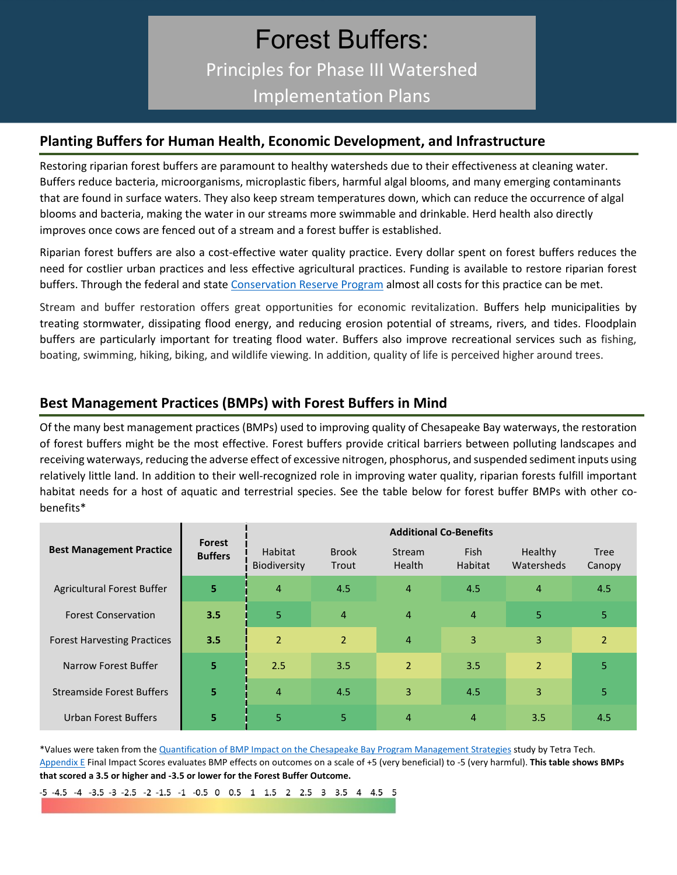# Forest Buffers: Principles for Phase III Watershed Implementation Plans

### **Planting Buffers for Human Health, Economic Development, and Infrastructure**

Restoring riparian forest buffers are paramount to healthy watersheds due to their effectiveness at cleaning water. Buffers reduce bacteria, microorganisms, microplastic fibers, harmful algal blooms, and many emerging contaminants that are found in surface waters. They also keep stream temperatures down, which can reduce the occurrence of algal blooms and bacteria, making the water in our streams more swimmable and drinkable. Herd health also directly improves once cows are fenced out of a stream and a forest buffer is established.

Riparian forest buffers are also a cost-effective water quality practice. Every dollar spent on forest buffers reduces the need for costlier urban practices and less effective agricultural practices. Funding is available to restore riparian forest buffers. Through the federal and state [Conservation Reserve Program](https://www.fsa.usda.gov/programs-and-services/conservation-programs/conservation-reserve-program/) almost all costs for this practice can be met.

Stream and buffer restoration offers great opportunities for economic revitalization. Buffers help municipalities by treating stormwater, dissipating flood energy, and reducing erosion potential of streams, rivers, and tides. Floodplain buffers are particularly important for treating flood water. Buffers also improve recreational services such as fishing, boating, swimming, hiking, biking, and wildlife viewing. In addition, quality of life is perceived higher around trees.

## **Best Management Practices (BMPs) with Forest Buffers in Mind**

Of the many best management practices (BMPs) used to improving quality of Chesapeake Bay waterways, the restoration of forest buffers might be the most effective. Forest buffers provide critical barriers between polluting landscapes and receiving waterways, reducing the adverse effect of excessive nitrogen, phosphorus, and suspended sediment inputs using relatively little land. In addition to their well-recognized role in improving water quality, riparian forests fulfill important habitat needs for a host of aquatic and terrestrial species. See the table below for forest buffer BMPs with other cobenefits\*

|                                    | Forest<br><b>Buffers</b> | <b>Additional Co-Benefits</b> |                       |                                |                               |                       |                       |
|------------------------------------|--------------------------|-------------------------------|-----------------------|--------------------------------|-------------------------------|-----------------------|-----------------------|
| <b>Best Management Practice</b>    |                          | Habitat<br>Biodiversity       | <b>Brook</b><br>Trout | <b>Stream</b><br><b>Health</b> | <b>Fish</b><br><b>Habitat</b> | Healthy<br>Watersheds | <b>Tree</b><br>Canopy |
| Agricultural Forest Buffer         | 5 <sup>1</sup>           | $\overline{4}$                | 4.5                   | $\overline{4}$                 | 4.5                           | $\overline{4}$        | 4.5                   |
| <b>Forest Conservation</b>         | 3.5                      | 5                             | $\overline{4}$        | $\overline{4}$                 | $\overline{4}$                | 5 <sup>1</sup>        | $\overline{5}$        |
| <b>Forest Harvesting Practices</b> | 3.5                      | $\overline{2}$                | $\overline{2}$        | $\overline{4}$                 | 3                             | 3                     | $\overline{2}$        |
| <b>Narrow Forest Buffer</b>        | $\overline{5}$           | 2.5                           | 3.5                   | $\overline{2}$                 | 3.5                           | $\overline{2}$        | 5                     |
| <b>Streamside Forest Buffers</b>   | 5 <sup>1</sup>           | $\overline{4}$                | 4.5                   | $\overline{3}$                 | 4.5                           | 3                     | 5                     |
| <b>Urban Forest Buffers</b>        | 5                        | 5                             | 5                     | $\overline{4}$                 | 4                             | 3.5                   | 4.5                   |

\*Values were taken from th[e Quantification of BMP Impact on the Chesapeake Bay Program Management Strategies](https://www.chesapeakebay.net/channel_files/25159/draft_bmp_impact_scoring_report_-_20170421.pdf) study by Tetra Tech. [Appendix E](https://drive.google.com/file/d/1s9yBjiUMn_kSKc5h04EHbNA-sy7vIxnA/view) Final Impact Scores evaluates BMP effects on outcomes on a scale of +5 (very beneficial) to -5 (very harmful). **This table shows BMPs that scored a 3.5 or higher and -3.5 or lower for the Forest Buffer Outcome.**

-5 -4.5 -4 -3.5 -3 -2.5 -2 -1.5 -1 -0.5 0 0.5 1 1.5 2 2.5 3 3.5 4 4.5 5